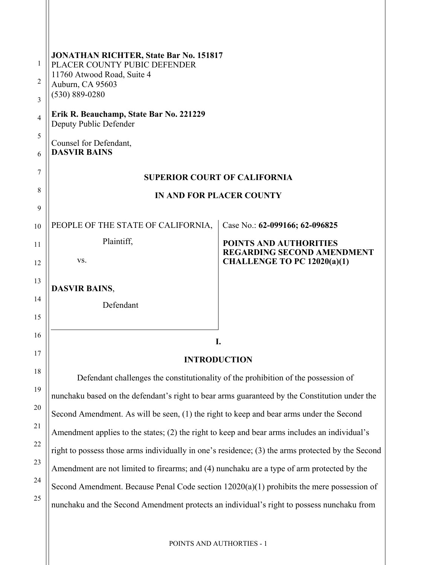| 1<br>2<br>3<br>4<br>5<br>6 | <b>JONATHAN RICHTER, State Bar No. 151817</b><br>PLACER COUNTY PUBIC DEFENDER<br>11760 Atwood Road, Suite 4<br>Auburn, CA 95603<br>$(530) 889 - 0280$<br>Erik R. Beauchamp, State Bar No. 221229<br>Deputy Public Defender<br>Counsel for Defendant,<br><b>DASVIR BAINS</b> |                                                                    |  |
|----------------------------|-----------------------------------------------------------------------------------------------------------------------------------------------------------------------------------------------------------------------------------------------------------------------------|--------------------------------------------------------------------|--|
|                            |                                                                                                                                                                                                                                                                             |                                                                    |  |
| 7                          | <b>SUPERIOR COURT OF CALIFORNIA</b>                                                                                                                                                                                                                                         |                                                                    |  |
| 8                          | <b>IN AND FOR PLACER COUNTY</b>                                                                                                                                                                                                                                             |                                                                    |  |
| 9                          |                                                                                                                                                                                                                                                                             |                                                                    |  |
| 10                         | PEOPLE OF THE STATE OF CALIFORNIA,                                                                                                                                                                                                                                          | Case No.: 62-099166; 62-096825                                     |  |
| 11                         | Plaintiff,                                                                                                                                                                                                                                                                  | <b>POINTS AND AUTHORITIES</b><br><b>REGARDING SECOND AMENDMENT</b> |  |
| 12                         | VS.                                                                                                                                                                                                                                                                         | <b>CHALLENGE TO PC 12020(a)(1)</b>                                 |  |
| 13                         | <b>DASVIR BAINS,</b>                                                                                                                                                                                                                                                        |                                                                    |  |
| 14                         | Defendant                                                                                                                                                                                                                                                                   |                                                                    |  |
| 15                         |                                                                                                                                                                                                                                                                             |                                                                    |  |
| 16                         | I.                                                                                                                                                                                                                                                                          |                                                                    |  |
| 17                         | <b>INTRODUCTION</b>                                                                                                                                                                                                                                                         |                                                                    |  |
| 18                         | Defendant challenges the constitutionality of the prohibition of the possession of                                                                                                                                                                                          |                                                                    |  |
| 19                         | nunchaku based on the defendant's right to bear arms guaranteed by the Constitution under the                                                                                                                                                                               |                                                                    |  |
| 20                         | Second Amendment. As will be seen, (1) the right to keep and bear arms under the Second                                                                                                                                                                                     |                                                                    |  |
| 21                         | Amendment applies to the states; (2) the right to keep and bear arms includes an individual's                                                                                                                                                                               |                                                                    |  |
| 22                         | right to possess those arms individually in one's residence; (3) the arms protected by the Second                                                                                                                                                                           |                                                                    |  |
| 23                         |                                                                                                                                                                                                                                                                             |                                                                    |  |
| 24                         | Amendment are not limited to firearms; and (4) nunchaku are a type of arm protected by the<br>Second Amendment. Because Penal Code section $12020(a)(1)$ prohibits the mere possession of                                                                                   |                                                                    |  |
| 25                         |                                                                                                                                                                                                                                                                             |                                                                    |  |
|                            | nunchaku and the Second Amendment protects an individual's right to possess nunchaku from                                                                                                                                                                                   |                                                                    |  |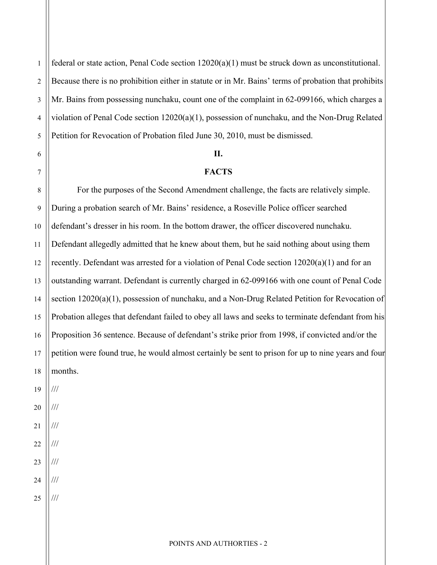1 2 3 4 5 federal or state action, Penal Code section 12020(a)(1) must be struck down as unconstitutional. Because there is no prohibition either in statute or in Mr. Bains' terms of probation that prohibits Mr. Bains from possessing nunchaku, count one of the complaint in 62-099166, which charges a violation of Penal Code section 12020(a)(1), possession of nunchaku, and the Non-Drug Related Petition for Revocation of Probation filed June 30, 2010, must be dismissed.

## **II.**

### **FACTS**

8 9 10 11 12 13 14 15 16 17 18 For the purposes of the Second Amendment challenge, the facts are relatively simple. During a probation search of Mr. Bains' residence, a Roseville Police officer searched defendant's dresser in his room. In the bottom drawer, the officer discovered nunchaku. Defendant allegedly admitted that he knew about them, but he said nothing about using them recently. Defendant was arrested for a violation of Penal Code section 12020(a)(1) and for an outstanding warrant. Defendant is currently charged in 62-099166 with one count of Penal Code section 12020(a)(1), possession of nunchaku, and a Non-Drug Related Petition for Revocation of Probation alleges that defendant failed to obey all laws and seeks to terminate defendant from his Proposition 36 sentence. Because of defendant's strike prior from 1998, if convicted and/or the petition were found true, he would almost certainly be sent to prison for up to nine years and four months.

19

///

///

///

6

7

- 20
- 21 22 /// ///
- 23 ///
- 24
- 25 ///

### POINTS AND AUTHORTIES - 2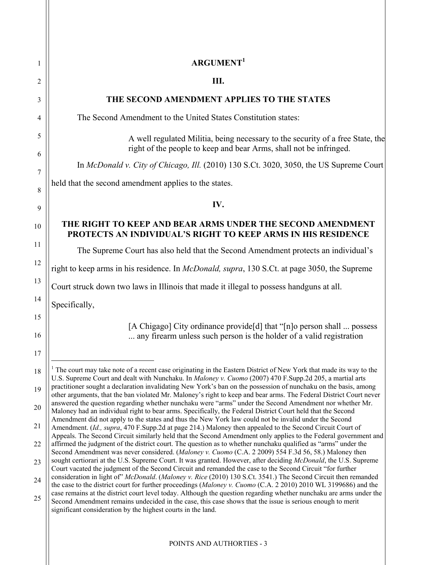<span id="page-2-0"></span>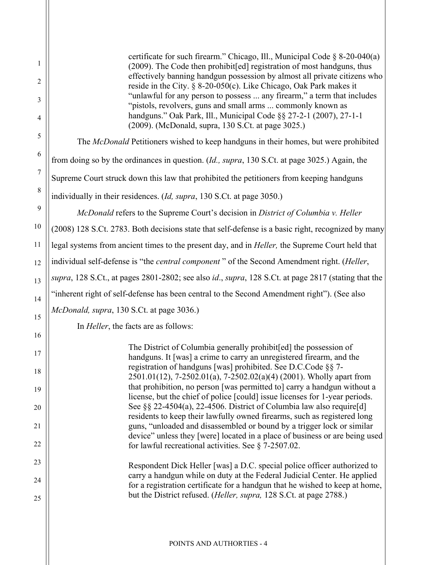certificate for such firearm." Chicago, Ill., Municipal Code § 8-20-040(a) (2009). The Code then prohibit[ed] registration of most handguns, thus effectively banning handgun possession by almost all private citizens who reside in the City. § 8-20-050(c). Like Chicago, Oak Park makes it "unlawful for any person to possess ... any firearm," a term that includes "pistols, revolvers, guns and small arms ... commonly known as handguns." Oak Park, Ill., Municipal Code §§ 27-2-1 (2007), 27-1-1 (2009). (McDonald, supra, 130 S.Ct. at page 3025.)

 The *McDonald* Petitioners wished to keep handguns in their homes, but were prohibited from doing so by the ordinances in question. (*Id., supra*, 130 S.Ct. at page 3025.) Again, the Supreme Court struck down this law that prohibited the petitioners from keeping handguns individually in their residences. (*Id, supra*, 130 S.Ct. at page 3050.)

*McDonald* refers to the Supreme Court's decision in *District of Columbia v. Heller* (2008) 128 S.Ct. 2783. Both decisions state that self-defense is a basic right, recognized by many legal systems from ancient times to the present day, and in *Heller,* the Supreme Court held that individual self-defense is "the *central component* " of the Second Amendment right. (*Heller*, *supra*, 128 S.Ct., at pages 2801-2802; see also *id*., *supra*, 128 S.Ct. at page 2817 (stating that the "inherent right of self-defense has been central to the Second Amendment right"). (See also *McDonald, supra*, 130 S.Ct. at page 3036.)

In *Heller*, the facts are as follows:

The District of Columbia generally prohibit[ed] the possession of handguns. It [was] a crime to carry an unregistered firearm, and the registration of handguns [was] prohibited. See D.C.Code §§ 7- 2501.01(12), 7-2502.01(a), 7-2502.02(a)(4) (2001). Wholly apart from that prohibition, no person [was permitted to] carry a handgun without a license, but the chief of police [could] issue licenses for 1-year periods. See §§ 22-4504(a), 22-4506. District of Columbia law also require[d] residents to keep their lawfully owned firearms, such as registered long guns, "unloaded and disassembled or bound by a trigger lock or similar device" unless they [were] located in a place of business or are being used for lawful recreational activities. See § 7-2507.02.

Respondent Dick Heller [was] a D.C. special police officer authorized to carry a handgun while on duty at the Federal Judicial Center. He applied for a registration certificate for a handgun that he wished to keep at home, but the District refused. (*Heller, supra,* 128 S.Ct. at page 2788.)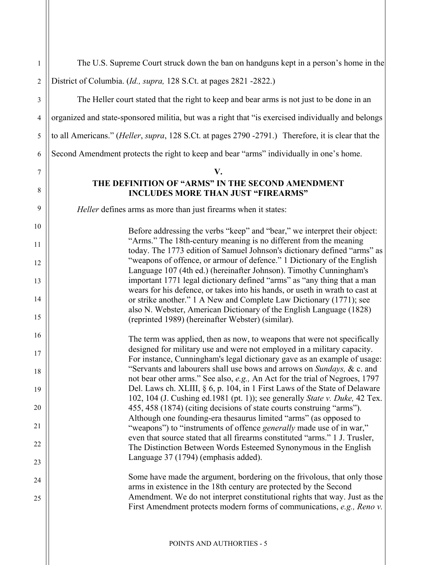1 2 3 4 5 6 7 8 9 10 11 12 13 14 15 16 17 18 19 20 21 22 23 24 25 The U.S. Supreme Court struck down the ban on handguns kept in a person's home in the District of Columbia. (*Id., supra,* 128 S.Ct. at pages 2821 -2822.) The Heller court stated that the right to keep and bear arms is not just to be done in an organized and state-sponsored militia, but was a right that "is exercised individually and belongs to all Americans." (*Heller*, *supra*, 128 S.Ct. at pages 2790 -2791.) Therefore, it is clear that the Second Amendment protects the right to keep and bear "arms" individually in one's home. **V. THE DEFINITION OF "ARMS" IN THE SECOND AMENDMENT INCLUDES MORE THAN JUST "FIREARMS"**  *Heller* defines arms as more than just firearms when it states: Before addressing the verbs "keep" and "bear," we interpret their object: "Arms." The 18th-century meaning is no different from the meaning today. The 1773 edition of Samuel Johnson's dictionary defined "arms" as "weapons of offence, or armour of defence." 1 Dictionary of the English Language 107 (4th ed.) (hereinafter Johnson). Timothy Cunningham's important 1771 legal dictionary defined "arms" as "any thing that a man wears for his defence, or takes into his hands, or useth in wrath to cast at or strike another." 1 A New and Complete Law Dictionary (1771); see also N. Webster, American Dictionary of the English Language (1828) (reprinted 1989) (hereinafter Webster) (similar). The term was applied, then as now, to weapons that were not specifically designed for military use and were not employed in a military capacity. For instance, Cunningham's legal dictionary gave as an example of usage: "Servants and labourers shall use bows and arrows on *Sundays,* & c. and not bear other arms." See also, *e.g.,* An Act for the trial of Negroes, 1797 Del. Laws ch. XLIII, § 6, p. 104, in 1 First Laws of the State of Delaware 102, 104 (J. Cushing ed.1981 (pt. 1)); see generally *State v. Duke,* 42 Tex. 455, 458 (1874) (citing decisions of state courts construing "arms"). Although one founding-era thesaurus limited "arms" (as opposed to "weapons") to "instruments of offence *generally* made use of in war," even that source stated that all firearms constituted "arms." 1 J. Trusler, The Distinction Between Words Esteemed Synonymous in the English Language 37 (1794) (emphasis added). Some have made the argument, bordering on the frivolous, that only those arms in existence in the 18th century are protected by the Second Amendment. We do not interpret constitutional rights that way. Just as the First Amendment protects modern forms of communications, *e.g., Reno v.* 

### POINTS AND AUTHORTIES - 5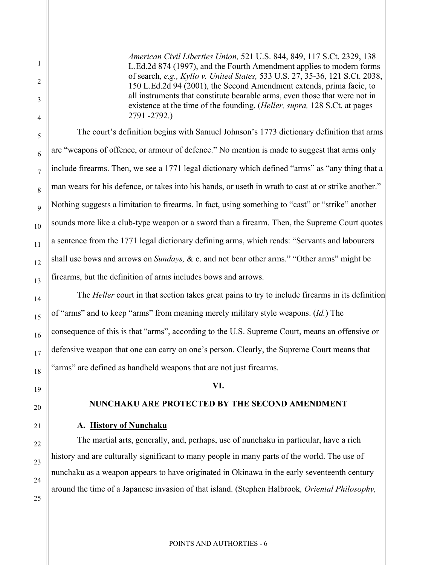*American Civil Liberties Union,* 521 U.S. 844, 849, 117 S.Ct. 2329, 138 L.Ed.2d 874 (1997), and the Fourth Amendment applies to modern forms of search, *e.g., Kyllo v. United States,* 533 U.S. 27, 35-36, 121 S.Ct. 2038, 150 L.Ed.2d 94 (2001), the Second Amendment extends, prima facie, to all instruments that constitute bearable arms, even those that were not in existence at the time of the founding. (*Heller, supra,* 128 S.Ct. at pages 2791 -2792.)

 The court's definition begins with Samuel Johnson's 1773 dictionary definition that arms are "weapons of offence, or armour of defence." No mention is made to suggest that arms only include firearms. Then, we see a 1771 legal dictionary which defined "arms" as "any thing that a man wears for his defence, or takes into his hands, or useth in wrath to cast at or strike another." Nothing suggests a limitation to firearms. In fact, using something to "cast" or "strike" another sounds more like a club-type weapon or a sword than a firearm. Then, the Supreme Court quotes a sentence from the 1771 legal dictionary defining arms, which reads: "Servants and labourers shall use bows and arrows on *Sundays,* & c. and not bear other arms." "Other arms" might be firearms, but the definition of arms includes bows and arrows.

 The *Heller* court in that section takes great pains to try to include firearms in its definition of "arms" and to keep "arms" from meaning merely military style weapons. (*Id.*) The consequence of this is that "arms", according to the U.S. Supreme Court, means an offensive or defensive weapon that one can carry on one's person. Clearly, the Supreme Court means that "arms" are defined as handheld weapons that are not just firearms.

### **VI.**

# **NUNCHAKU ARE PROTECTED BY THE SECOND AMENDMENT**

## **A. History of Nunchaku**

The martial arts, generally, and, perhaps, use of nunchaku in particular, have a rich history and are culturally significant to many people in many parts of the world. The use of nunchaku as a weapon appears to have originated in Okinawa in the early seventeenth century around the time of a Japanese invasion of that island. (Stephen Halbrook*, Oriental Philosophy,*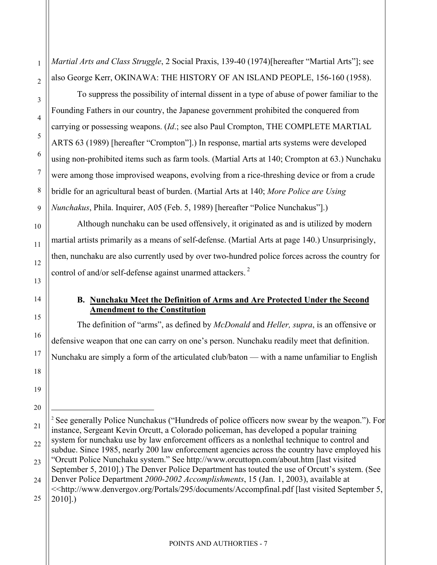*Martial Arts and Class Struggle*, 2 Social Praxis, 139-40 (1974)[hereafter "Martial Arts"]; see also George Kerr, OKINAWA: THE HISTORY OF AN ISLAND PEOPLE, 156-160 (1958).

To suppress the possibility of internal dissent in a type of abuse of power familiar to the Founding Fathers in our country, the Japanese government prohibited the conquered from carrying or possessing weapons. (*Id*.; see also Paul Crompton, THE COMPLETE MARTIAL ARTS 63 (1989) [hereafter "Crompton"].) In response, martial arts systems were developed using non-prohibited items such as farm tools. (Martial Arts at 140; Crompton at 63.) Nunchaku were among those improvised weapons, evolving from a rice-threshing device or from a crude bridle for an agricultural beast of burden. (Martial Arts at 140; *More Police are Using Nunchakus*, Phila. Inquirer, A05 (Feb. 5, 1989) [hereafter "Police Nunchakus"].)

Although nunchaku can be used offensively, it originated as and is utilized by modern martial artists primarily as a means of self-defense. (Martial Arts at page 140.) Unsurprisingly, then, nunchaku are also currently used by over two-hundred police forces across the country for control of and/or self-defense against unarmed attackers.<sup>2</sup>

## **B. Nunchaku Meet the Definition of Arms and Are Protected Under the Second Amendment to the Constitution**

The definition of "arms", as defined by *McDonald* and *Heller, supra*, is an offensive or defensive weapon that one can carry on one's person. Nunchaku readily meet that definition. Nunchaku are simply a form of the articulated club/baton — with a name unfamiliar to English

Denver Police Department *2000-2002 Accomplishments*, 15 (Jan. 1, 2003), available at <<http://www.denvergov.org/Portals/295/documents/Accompfinal.pdf [last visited September 5, 2010].)

<span id="page-6-0"></span> $\overline{a}$ 

<sup>&</sup>lt;sup>2</sup> See generally Police Nunchakus ("Hundreds of police officers now swear by the weapon."). For instance, Sergeant Kevin Orcutt, a Colorado policeman, has developed a popular training system for nunchaku use by law enforcement officers as a nonlethal technique to control and subdue. Since 1985, nearly 200 law enforcement agencies across the country have employed his "Orcutt Police Nunchaku system." See http://www.orcuttopn.com/about.htm [last visited September 5, 2010].) The Denver Police Department has touted the use of Orcutt's system. (See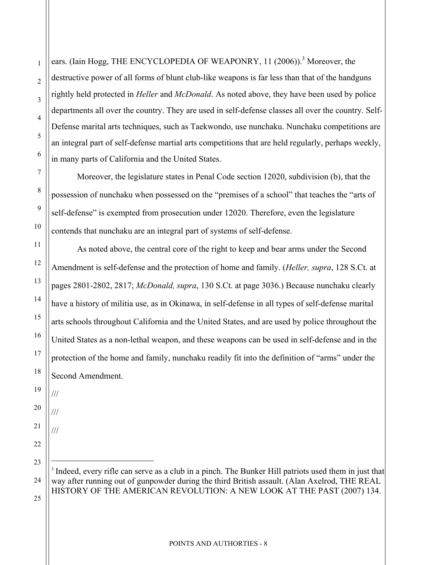ears. (Iain Hogg, THE ENCYCLOPEDIA OF WEAPONRY, 11 (2006)).<sup>3</sup> Moreover, the destructive power of all forms of blunt club-like weapons is far less than that of the handguns rightly held protected in *Heller* and *McDonald*. As noted above, they have been used by police departments all over the country. They are used in self-defense classes all over the country. Self-Defense marital arts techniques, such as Taekwondo, use nunchaku. Nunchaku competitions are an integral part of self-defense martial arts competitions that are held regularly, perhaps weekly, in many parts of California and the United States.

Moreover, the legislature states in Penal Code section 12020, subdivision (b), that the possession of nunchaku when possessed on the "premises of a school" that teaches the "arts of self-defense" is exempted from prosecution under 12020. Therefore, even the legislature contends that nunchaku are an integral part of systems of self-defense.

As noted above, the central core of the right to keep and bear arms under the Second Amendment is self-defense and the protection of home and family. (*Heller, supra*, 128 S.Ct. at pages 2801-2802, 2817; *McDonald, supra*, 130 S.Ct. at page 3036.) Because nunchaku clearly have a history of militia use, as in Okinawa, in self-defense in all types of self-defense marital arts schools throughout California and the United States, and are used by police throughout the United States as a non-lethal weapon, and these weapons can be used in self-defense and in the protection of the home and family, nunchaku readily fit into the definition of "arms" under the Second Amendment.

- 19 ///
- 20

22

23

1

2

3

4

5

6

7

8

9

10

11

12

13

14

15

16

17

18

21 ///

///

<span id="page-7-0"></span> $\overline{\phantom{a}}$ 

POINTS AND AUTHORTIES - 8

<sup>24</sup>  25 <sup>3</sup> Indeed, every rifle can serve as a club in a pinch. The Bunker Hill patriots used them in just that way after running out of gunpowder during the third British assault. (Alan Axelrod, THE REAL HISTORY OF THE AMERICAN REVOLUTION: A NEW LOOK AT THE PAST (2007) 134.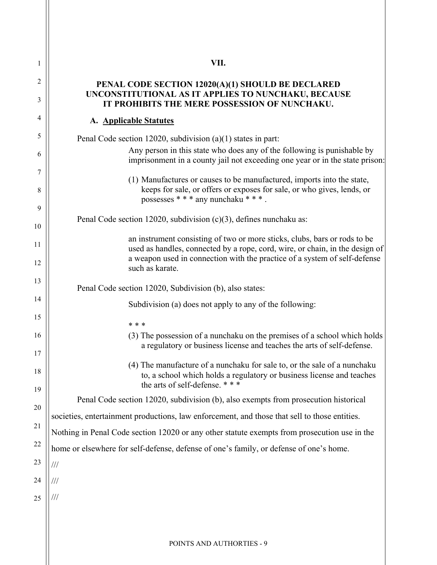| 1        | VII.                                                                                                                                                      |
|----------|-----------------------------------------------------------------------------------------------------------------------------------------------------------|
| 2        |                                                                                                                                                           |
| 3        | PENAL CODE SECTION 12020(A)(1) SHOULD BE DECLARED<br>UNCONSTITUTIONAL AS IT APPLIES TO NUNCHAKU, BECAUSE<br>IT PROHIBITS THE MERE POSSESSION OF NUNCHAKU. |
| 4        | A. Applicable Statutes                                                                                                                                    |
| 5        | Penal Code section 12020, subdivision $(a)(1)$ states in part:                                                                                            |
| 6        | Any person in this state who does any of the following is punishable by<br>imprisonment in a county jail not exceeding one year or in the state prison:   |
| 7        | (1) Manufactures or causes to be manufactured, imports into the state,                                                                                    |
| 8        | keeps for sale, or offers or exposes for sale, or who gives, lends, or<br>possesses * * * any nunchaku * * *.                                             |
| 9<br>10  | Penal Code section 12020, subdivision (c)(3), defines nunchaku as:                                                                                        |
|          | an instrument consisting of two or more sticks, clubs, bars or rods to be                                                                                 |
| 11<br>12 | used as handles, connected by a rope, cord, wire, or chain, in the design of<br>a weapon used in connection with the practice of a system of self-defense |
| 13       | such as karate.                                                                                                                                           |
| 14       | Penal Code section 12020, Subdivision (b), also states:                                                                                                   |
| 15       | Subdivision (a) does not apply to any of the following:                                                                                                   |
|          | * * *                                                                                                                                                     |
| 16<br>17 | (3) The possession of a nunchaku on the premises of a school which holds<br>a regulatory or business license and teaches the arts of self-defense.        |
| 18       | (4) The manufacture of a nunchaku for sale to, or the sale of a nunchaku<br>to, a school which holds a regulatory or business license and teaches         |
| 19       | the arts of self-defense. ***                                                                                                                             |
| 20       | Penal Code section 12020, subdivision (b), also exempts from prosecution historical                                                                       |
| 21       | societies, entertainment productions, law enforcement, and those that sell to those entities.                                                             |
|          | Nothing in Penal Code section 12020 or any other statute exempts from prosecution use in the                                                              |
| 22       | home or elsewhere for self-defense, defense of one's family, or defense of one's home.                                                                    |
| 23       | ///                                                                                                                                                       |
| 24       |                                                                                                                                                           |
| 25       |                                                                                                                                                           |
|          |                                                                                                                                                           |
|          |                                                                                                                                                           |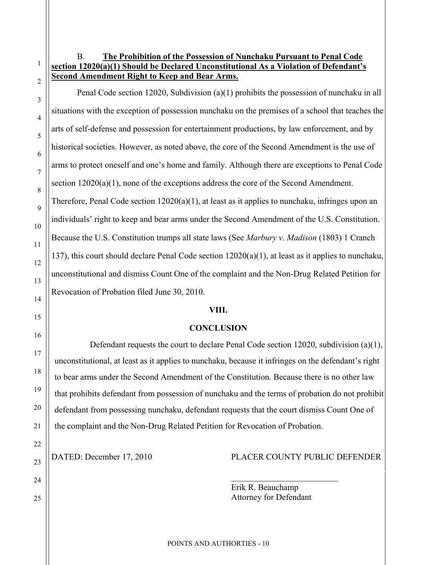# B. **The Prohibition of the Possession of Nunchaku Pursuant to Penal Code section 12020(a)(1) Should be Declared Unconstitutional As a Violation of Defendant's Second Amendment Right to Keep and Bear Arms.**

 Penal Code section 12020, Subdivision (a)(1) prohibits the possession of nunchaku in all situations with the exception of possession nunchaku on the premises of a school that teaches the arts of self-defense and possession for entertainment productions, by law enforcement, and by historical societies. However, as noted above, the core of the Second Amendment is the use of arms to protect oneself and one's home and family. Although there are exceptions to Penal Code section  $12020(a)(1)$ , none of the exceptions address the core of the Second Amendment. Therefore, Penal Code section  $12020(a)(1)$ , at least as it applies to nunchaku, infringes upon an individuals' right to keep and bear arms under the Second Amendment of the U.S. Constitution. Because the U.S. Constitution trumps all state laws (See *Marbury v. Madison* (1803) 1 Cranch 137), this court should declare Penal Code section 12020(a)(1), at least as it applies to nunchaku, unconstitutional and dismiss Count One of the complaint and the Non-Drug Related Petition for Revocation of Probation filed June 30, 2010.

# **VIII.**

# **CONCLUSION**

 Defendant requests the court to declare Penal Code section 12020, subdivision (a)(1), unconstitutional, at least as it applies to nunchaku, because it infringes on the defendant's right to bear arms under the Second Amendment of the Constitution. Because there is no other law that prohibits defendant from possession of nunchaku and the terms of probation do not prohibit defendant from possessing nunchaku, defendant requests that the court dismiss Count One of the complaint and the Non-Drug Related Petition for Revocation of Probation.

DATED: December 17, 2010 PLACER COUNTY PUBLIC DEFENDER

 Erik R. Beauchamp Attorney for Defendant

 $\mathcal{L}_\text{max}$  and  $\mathcal{L}_\text{max}$  and  $\mathcal{L}_\text{max}$  and  $\mathcal{L}_\text{max}$  and  $\mathcal{L}_\text{max}$  and  $\mathcal{L}_\text{max}$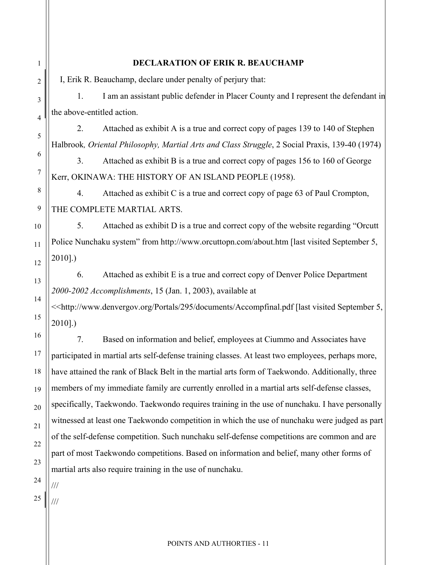| 1                | <b>DECLARATION OF ERIK R. BEAUCHAMP</b>                                                                                                |
|------------------|----------------------------------------------------------------------------------------------------------------------------------------|
| $\overline{c}$   | I, Erik R. Beauchamp, declare under penalty of perjury that:                                                                           |
| 3                | I am an assistant public defender in Placer County and I represent the defendant in<br>1.                                              |
| 4                | the above-entitled action.                                                                                                             |
| 5                | Attached as exhibit A is a true and correct copy of pages 139 to 140 of Stephen<br>2.                                                  |
|                  | Halbrook, Oriental Philosophy, Martial Arts and Class Struggle, 2 Social Praxis, 139-40 (1974)                                         |
| 6                | Attached as exhibit B is a true and correct copy of pages 156 to 160 of George<br>3.                                                   |
| 7                | Kerr, OKINAWA: THE HISTORY OF AN ISLAND PEOPLE (1958).                                                                                 |
| 8                | Attached as exhibit C is a true and correct copy of page 63 of Paul Crompton,<br>4.                                                    |
| 9                | THE COMPLETE MARTIAL ARTS.                                                                                                             |
| $\boldsymbol{0}$ | Attached as exhibit D is a true and correct copy of the website regarding "Orcutt"<br>5.                                               |
| $\mathbf{1}$     | Police Nunchaku system" from http://www.orcuttopn.com/about.htm [last visited September 5,                                             |
| $\overline{c}$   | $2010$ ].)                                                                                                                             |
| 3                | 6.<br>Attached as exhibit E is a true and correct copy of Denver Police Department                                                     |
| 4                | 2000-2002 Accomplishments, 15 (Jan. 1, 2003), available at                                                                             |
|                  | < <http: 295="" 5,<="" [last="" accompfinal.pdf="" documents="" portals="" september="" th="" visited="" www.denvergov.org=""></http:> |
| 5                | $2010$ ].)                                                                                                                             |
| 6                | 7.<br>Based on information and belief, employees at Ciummo and Associates have                                                         |
| 7                | participated in martial arts self-defense training classes. At least two employees, perhaps more,                                      |
| 8                | have attained the rank of Black Belt in the martial arts form of Taekwondo. Additionally, three                                        |
| 9                | members of my immediate family are currently enrolled in a martial arts self-defense classes,                                          |
| $20^{\circ}$     | specifically, Taekwondo. Taekwondo requires training in the use of nunchaku. I have personally                                         |
| $^{21}$          | witnessed at least one Taekwondo competition in which the use of nunchaku were judged as part                                          |
| $^{22}$          | of the self-defense competition. Such nunchaku self-defense competitions are common and are                                            |
| $^{23}$          | part of most Taekwondo competitions. Based on information and belief, many other forms of                                              |
| $\frac{1}{4}$    | martial arts also require training in the use of nunchaku.                                                                             |
|                  | $/\!/ \!/$                                                                                                                             |
| 25               | $/\!/ \!/$                                                                                                                             |
|                  |                                                                                                                                        |